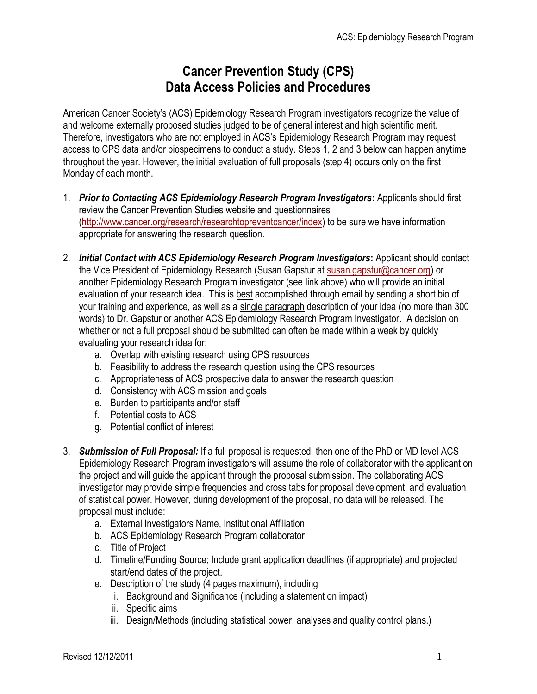## **Cancer Prevention Study (CPS) Data Access Policies and Procedures**

American Cancer Society's (ACS) Epidemiology Research Program investigators recognize the value of and welcome externally proposed studies judged to be of general interest and high scientific merit. Therefore, investigators who are not employed in ACS's Epidemiology Research Program may request access to CPS data and/or biospecimens to conduct a study. Steps 1, 2 and 3 below can happen anytime throughout the year. However, the initial evaluation of full proposals (step 4) occurs only on the first Monday of each month.

- 1. *Prior to Contacting ACS Epidemiology Research Program Investigators***:** Applicants should first review the Cancer Prevention Studies website and questionnaires [\(http://www.cancer.org/research/researchtopreventcancer/index\)](http://www.cancer.org/research/researchtopreventcancer/index) to be sure we have information appropriate for answering the research question.
- 2. *Initial Contact with ACS Epidemiology Research Program Investigators***:** Applicant should contact the Vice President of Epidemiology Research (Susan Gapstur at [susan.gapstur@cancer.org\)](mailto:susan.gapstur@cancer.org) or another Epidemiology Research Program investigator (see link above) who will provide an initial evaluation of your research idea. This is best accomplished through email by sending a short bio of your training and experience, as well as a single paragraph description of your idea (no more than 300 words) to Dr. Gapstur or another ACS Epidemiology Research Program Investigator. A decision on whether or not a full proposal should be submitted can often be made within a week by quickly evaluating your research idea for:
	- a. Overlap with existing research using CPS resources
	- b. Feasibility to address the research question using the CPS resources
	- c. Appropriateness of ACS prospective data to answer the research question
	- d. Consistency with ACS mission and goals
	- e. Burden to participants and/or staff
	- f. Potential costs to ACS
	- g. Potential conflict of interest
- 3. *Submission of Full Proposal:* If a full proposal is requested, then one of the PhD or MD level ACS Epidemiology Research Program investigators will assume the role of collaborator with the applicant on the project and will guide the applicant through the proposal submission. The collaborating ACS investigator may provide simple frequencies and cross tabs for proposal development, and evaluation of statistical power. However, during development of the proposal, no data will be released. The proposal must include:
	- a. External Investigators Name, Institutional Affiliation
	- b. ACS Epidemiology Research Program collaborator
	- c. Title of Project
	- d. Timeline/Funding Source; Include grant application deadlines (if appropriate) and projected start/end dates of the project.
	- e. Description of the study (4 pages maximum), including
		- i. Background and Significance (including a statement on impact)
		- ii. Specific aims
		- iii. Design/Methods (including statistical power, analyses and quality control plans.)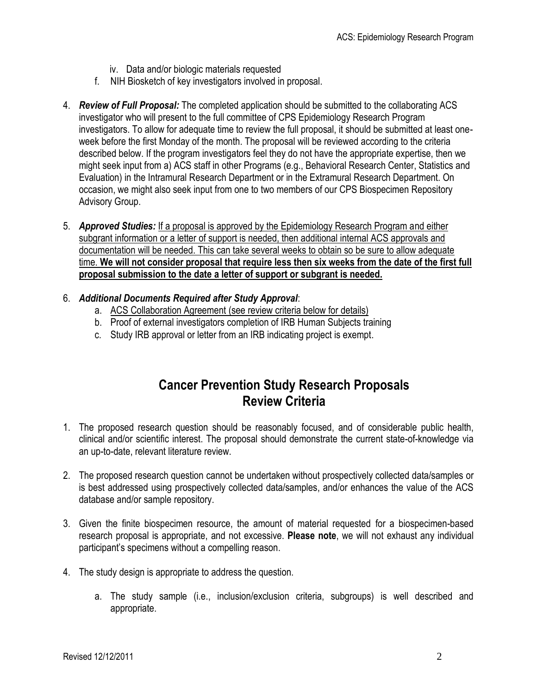- iv. Data and/or biologic materials requested
- f. NIH Biosketch of key investigators involved in proposal.
- 4. *Review of Full Proposal:* The completed application should be submitted to the collaborating ACS investigator who will present to the full committee of CPS Epidemiology Research Program investigators. To allow for adequate time to review the full proposal, it should be submitted at least oneweek before the first Monday of the month. The proposal will be reviewed according to the criteria described below. If the program investigators feel they do not have the appropriate expertise, then we might seek input from a) ACS staff in other Programs (e.g., Behavioral Research Center, Statistics and Evaluation) in the Intramural Research Department or in the Extramural Research Department. On occasion, we might also seek input from one to two members of our CPS Biospecimen Repository Advisory Group.
- 5. *Approved Studies:* If a proposal is approved by the Epidemiology Research Program and either subgrant information or a letter of support is needed, then additional internal ACS approvals and documentation will be needed. This can take several weeks to obtain so be sure to allow adequate time. **We will not consider proposal that require less then six weeks from the date of the first full proposal submission to the date a letter of support or subgrant is needed.**
- 6. *Additional Documents Required after Study Approval*:
	- a. ACS Collaboration Agreement (see review criteria below for details)
	- b. Proof of external investigators completion of IRB Human Subjects training
	- c. Study IRB approval or letter from an IRB indicating project is exempt.

## **Cancer Prevention Study Research Proposals Review Criteria**

- 1. The proposed research question should be reasonably focused, and of considerable public health, clinical and/or scientific interest. The proposal should demonstrate the current state-of-knowledge via an up-to-date, relevant literature review.
- 2. The proposed research question cannot be undertaken without prospectively collected data/samples or is best addressed using prospectively collected data/samples, and/or enhances the value of the ACS database and/or sample repository.
- 3. Given the finite biospecimen resource, the amount of material requested for a biospecimen-based research proposal is appropriate, and not excessive. **Please note**, we will not exhaust any individual participant's specimens without a compelling reason.
- 4. The study design is appropriate to address the question.
	- a. The study sample (i.e., inclusion/exclusion criteria, subgroups) is well described and appropriate.